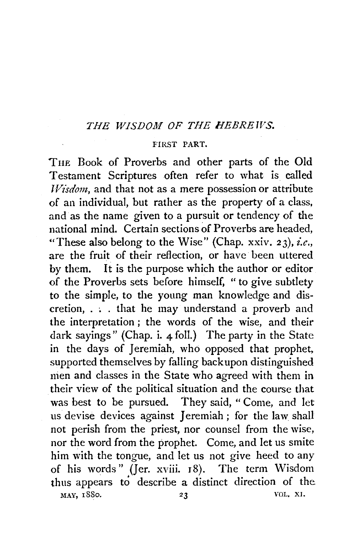## *THE WISDOM OF THE HEBREWS.*

## FIRST PART.

TnE Book of Proverbs and other parts of the Old Testament Scriptures often refer to what is called *IVisdom,* and that not as a mere possession or attribute of an individual, but rather as the property of a class, and as the name given to a pursuit or tendency of the national mind. Certain sections of Proverbs are headed, "These also belong to the Wise" (Chap. xxiv.  $23$ ), *i.e.*, are the fruit of their reflection, or have been uttered by them. It is the purpose which the author or editor of the Proverbs sets before himself, " to give subtlety to the simple, to the young man knowledge and dis $cretion, \ldots$  that he may understand a proverb and the interpretation ; the words of the wise, and their dark sayings" (Chap. i. 4 foll.) The party in the State in the days of Jeremiah, who opposed that prophet. supported themselves by falling back upon distinguished nien and classes in the State who agreed with them in their view of the political situation and the course that was best to be pursued. They said, "Come, and let us devise devices against Jeremiah ; for the law shall not perish from the priest, nor counsel from the wise, nor the word from the prophet. Come, and let us smite him with the tongue, and let us not give heed to any of his words" (Jer. xviii. r8). The term Wisdom thus appears to describe a distinct direction of the MAY, 1880. 23 VOL. XI.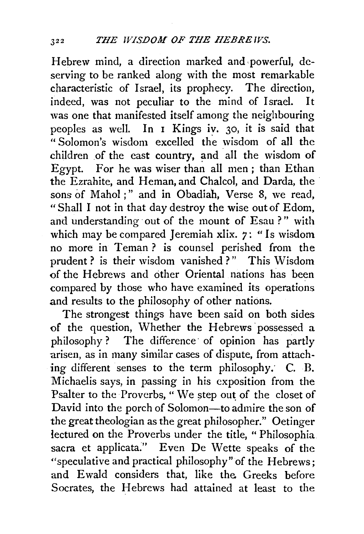Hebrew mind, a direction marked and powerful, deserving to be ranked along with the most remarkable characteristic of Israel, its prophecy. The direction, indeed, was not peculiar to the mind of Israel. It was one that manifested itself among the neighbouring peoples as well. In I Kings iv. 30, it is said that  $\cdot$  Solomon's wisdom excelled the wisdom of all the children of the east country, and all the wisdom of Egypt. For he was wiser than all men; than Ethan the Ezrahite, and Heman, and Chalcol, and Darda, the sons of Mahol;" and in Obadiah, Verse 8, we read, "Shall I not in that day destroy the wise out of Edom, and understanding out of the mount of Esau ?" with which may be compared Jeremiah xlix. 7: "Is wisdom no more in Teman ? is counsel perished from the prudent? is their wisdom vanished ?" This Wisdom of the Hebrews and other Oriental nations has been compared by those who have examined its operations and results to the philosophy of other nations.

The strongest things have been said on both sides of the question, Whether the Hebrews 'possessed a philosophy? The difference of opinion has partly arisen, as in many similar cases of dispute, from attaching different senses to the term philosophy: C. B. Michaelis says, in passing in his exposition from the Psalter to the Proverbs, " We step out of the closet of David into the porch of Solomon-to admire the son of the great theologian as the great philosopher." Oetinger lectured on the Proverbs under the title, " Philosophia sacra et applicata." Even De Wette speaks of the ''speculative and practical philosophy" of the Hebrews; and Ewald considers that, like the. Greeks before Socrates, the Hebrews had attained at least to the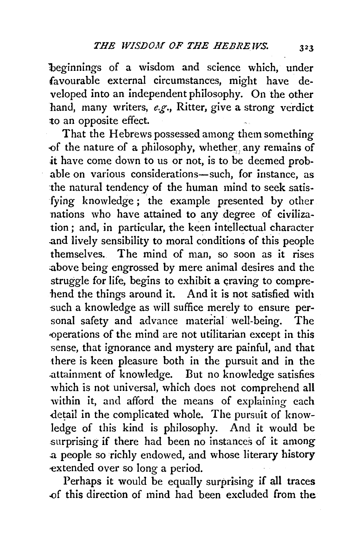beginnings of a wisdom and science which, under favourable external circumstances, might have developed into an independent philosophy. On the other hand, many writers, *e.g.,* Ritter, give a strong verdict *to* an opposite effect.

That the Hebrews possessed among them something of the nature of a philosophy, whether: any remains of *it* have come down to us or not, is to be deemed probable on various considerations-such, for instance, as the natural tendency of the human mind to seek satisfying knowledge; the example presented by other nations who have attained to any degree of civilization ; and, in particular, the keen intellectual character .and lively sensibility to moral conditions of this people themselves. The mind of man, so soon as it rises .above being engrossed by mere animal desires and the struggle for life, begins to exhibit a craving to comprehend the things around it. And it is not satisfied with -such a knowledge as will suffice merely to ensure personal safety and advance material well-being. The operations of the mind are not utilitarian except in this sense, that ignorance and mystery are painful, and that there is keen pleasure both in the pursuit and in the .attainment of knowledge. But no knowledge satisfies which is not universal, which does not comprehend all within it, and afford the means of explaining each detail in the complicated whole. The pursuit of knowledge of this kind is philosophy. And it would be surprising if there had been no instances of it among .a people so richly endowed, and whose literary history -extended over so long a period.

Perhaps it would be equally surprising if all traces .of this direction of mind had been excluded from the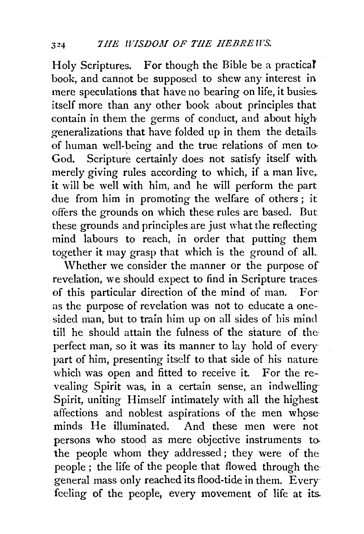Holy Scriptures. For though the Bible be a practical book, and cannot be supposed to shew any interest in mere speculations that have no bearing on life, it busies. itself more than any other book about principles that contain in them the germs of conduct, and about high generalizations that have folded up in them the details. of human well-being and the true relations of men to. God. Scripture certainly does not satisfy itself with. merely giving rules according to which, if a man live,. it will be well with him, and he will perform the part due from him in promoting the welfare of others; it offers the grounds on which these rules are based. But these grounds and principles are just what the reflecting mind labours to reach, in order that putting them together it may grasp that which is the ground of all..

\Vhether we consider the manner or the purpose of revelation, we should expect to find in Scripture traces. of this particular direction of the mind of man. For· as the purpose of revelation was not to educate a onesided man, but to train him up on all sides of his mind till he should attain the fulness of the stature of the perfect man, so it was its manner to lay hold of every· part of him, presenting itself to that side of his nature· which was open and fitted to receive it. For the revealing Spirit was, in a certain sense, an indwelling· Spirit, uniting Himself intimately with all the highest affections and noblest aspirations of the men whoseminds He illuminated. And these men were not persons who stood as mere objective instruments tothe people whom they addressed; they were of the people ; the life of the people that flowed through the· general mass only reached its flood-tide in them. Every feeling of the people, every movement of life at its.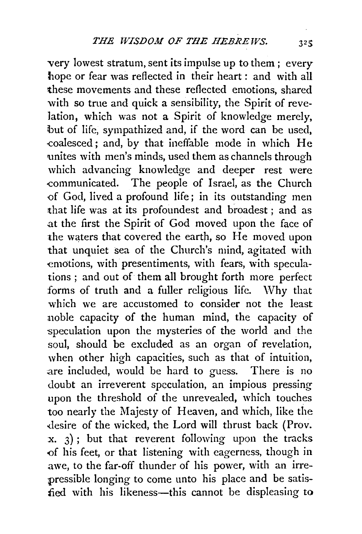very lowest stratum, sent its impulse up to them; every hope or fear was reflected in their heart : and with all these movements and these reflected emotions, shared with so true and quick a sensibility, the Spirit of revelation, which was not a Spirit of knowledge merely, but of life, sympathized and, if the word can be used, -coalesced; and, by that ineffable mode in which He unites with men's minds, used them as channels through which advancing knowledge and deeper rest were -communicated. The people of Israel, as the Church -of God, lived a profound life ; in its outstanding men that life was at its profoundest and broadest ; and as .at the first the Spirit of God moved upon the face of the waters that covered the earth, so He moved upon that unquiet sea of the Church's mind, agitated with emotions, with presentiments, with fears, with speculations ; and out of them all brought forth more perfect forms of truth and a fuller religious life. \Vhy that which we are accustomed to consider not the least noble capacity of the human mind, the capacity of speculation upon the mysteries of the world and the soul, should be excluded as an organ of revelation, when other high capacities, such as that of intuition, are included, would be hard to guess. There is no doubt an irreverent speculation, an impious pressing upon the threshold of the unrevealed, which touches too nearly the Majesty of Heaven, and which, like the desire of the wicked, the Lord will thrust back (Prov.  $x.$  3); but that reverent following upon the tracks -of his feet, or that listening with eagerness, though in awe, to the far-off thunder of his power, with an irrepressible longing to come unto his place and be satisfied with his likeness-this cannot be displeasing to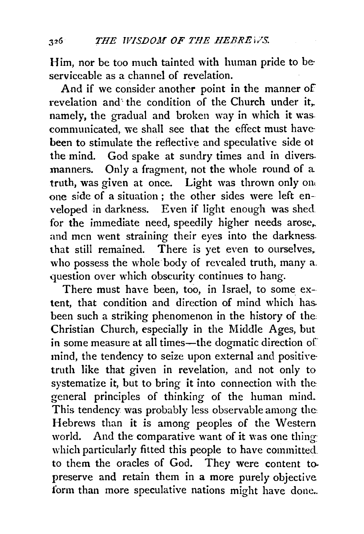Him, nor be too much tainted with human pride to be· serviceable as a channel of revelation.

And if we consider another point in the manner of revelation and the condition of the Church under it. namely, the gradual and broken way in which it was. communicated, we shall see that the effect must havebeen to stimulate the reflective and speculative side ot the mind. God spake at sundry times and in divers. manners. Only a fragment, not the whole round of a truth, was given at once. Light was thrown only one one side of a situation ; the other sides were left enveloped in darkness. Even if light enough was shed. for the immediate need, speedily higher needs arose, and men went straining their eyes into the darkness. that still remained. There is yet even to ourselves. who possess the whole body of revealed truth, many a. question over which obscurity continues to hang.

There must have been, too, in Israel, to some ex-tent, that condition and direction of mind which has. been such a striking phenomenon in the history of the: Christian Church, especially in the Middle Ages, but in some measure at all times—the dogmatic direction of mind, the tendency to seize upon external and positive· truth like that given in revelation, and not only to systematize it, but to bring it into connection with the general principles of thinking of the human mind. This tendency was probably less observable among the: Hebrews than it is among peoples of the Western world. And the comparative want of it was one thing: which particularly fitted this people to have committed. to them the oracles of God. They were content to. preserve and retain them in a more purely objective form than more speculative nations might have done..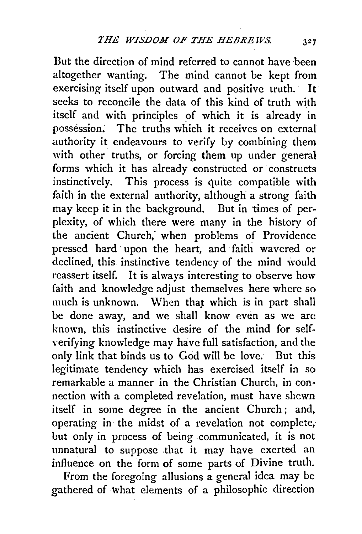But the direction of mind referred to cannot have been altogether wanting. The mind cannot be kept from exercising itself upon outward and positive truth. It seeks to reconcile the data of this kind of truth with itself and with principles of which it is already in possession. The truths which it receives on external authority it endeavours to verify by combining them with other truths, or forcing them up under general forms which it has already constructed or constructs instinctively. This process is quite compatible with faith in the external authority, although a strong faith may keep it in the background. But in times of perplexity, of which there were many in the history of the ancient Church, when problems of Providence pressed hard upon the heart, and faith wavered or declined, this instinctive tendency of the mind would reassert itself. It is always interesting to observe how faith and knowledge adjust themselves here where so much is unknown. When that which is in part shall be done away, and we shall know even as we are known, this instinctive desire of the mind for selfverifying knowledge may have full satisfaction, and the only link that binds us to God will be love. But this legitimate tendency which has exercised itself in so remarkable a manner in the Christian Church, in connection with a completed revelation, must have shewn itself in some degree in the ancient Church; and, operating in the midst of a revelation not complete, but only in process of being communicated, it is not unnatural to suppose that it may have exerted an influence on the form of some parts of Divine truth.

From the foregoing allusions a general idea may be gathered of what elements of a philosophic direction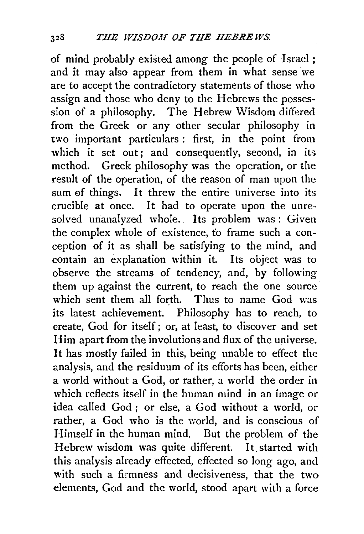of mind probably existed among the people of Israel; and it may also appear from them in what sense we are to accept the contradictory statements of those who assign and those who deny to the Hebrews the possession of a philosophy. The Hebrew Wisdom differed from the Greek or any other secular philosophy in two important particulars : first, in the point from which it set out; and consequently, second, in its method. Greek philosophy was the operation, or the result of the operation, of the reason of man upon the sum ef things. It threw the entire universe into its crucible at once. It had to operate upon the unresolved unanalyzed whole. Its problem was: Given the complex whole of existence, fo frame such a conception of it as shall be satisfying to the mind, and contain an explanation within it. Its object was to observe the streams of tendency, and, by following them up against the current, to reach the one source<sup>-</sup> which sent them all forth. Thus to name God was its latest achievement. Philosophy has to reach, to create, God for itself; or, at least, to discover and set Him apart from the involutions and flux of the universe. It has mostly failed in this, being unable to effect the analysis, and the residuum of its efforts has been, either a world without a God, or rather, a world the order in which reflects itself in the human mind in an image or idea called God ; or else, a God without a world, or rather, a God who is the world, and is conscious of Himself in the human mind. But the problem of the Hebrew wisdom was quite different. It. started with this analysis already effected, effected so long ago, and with such a firmness and decisiveness, that the two elements, God and the world, stood apart with a force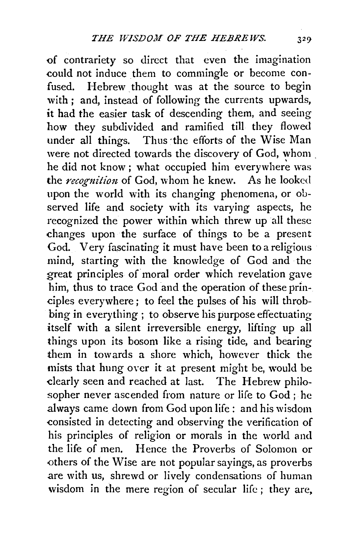of contrariety so direct that even the imagination could not induce them to commingle or become confused. Hebrew thought was at the source to begin with ; and, instead of following the currents upwards, it had the easier task of descending them, and seeing how they subdivided and ramified till they flowed under all things. Thus the efforts of the Wise Man were not directed towards the discovery of God, whom . he did not know; what occupied him everywhere was the *recognition* of God, whom he knew. As he looked upon the world with its changing phenomena, or observed life and society with its varying aspects, he recognized the power within which threw up all these changes upon the surface of things to be a present God. Very fascinating it must have been to a religious mind, starting with the knowledge of God and ·the great principles of moral order which revelation gave him, thus to trace God and the operation of these principles everywhere ; to feel the pulses of his will throbbing in everything ; to observe his purpose effectuating itself with a silent irreversible energy, lifting up all things upon its bosom like a rising tide, and bearing them in towards a shore which, however thick the mists that hung over it at present might be, would be dearly seen and reached at last. The Hebrew philosopher never ascended from nature or life to God ; he .always came down from God upon life: and his wisdom consisted in detecting and observing the verification of his principles of religion or morals in the world and the life of men. Hence the Proverbs of Solomon or others of the Wise are not popular sayings, as proverbs are with us, shrewd or lively condensations of human wisdom in the mere region of secular life ; they are,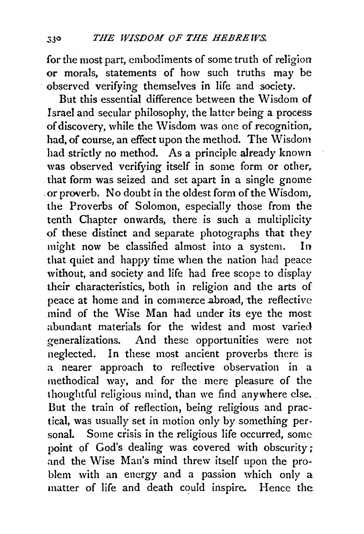for the most part, embodiments of some truth of religion or morals, statements of how such truths may be observed verifying themselves in life and society.

But this essential difference between the Wisdom of Israel and secular philosophy, the latter being a process of discovery, while the Wisdom was one of recognition, had, of course, an effect upon the method. The Wisdom had strictly no method. As a principle already known was observed verifying itself in some form or other, that form was seized and set apart in a single gnome . or proverb. No doubt in the oldest form of the Wisdom. the Proverbs of Solomon, especially those from the tenth Chapter onwards, there is such a multiplicity of these distinct and separate photographs that they might now be classified almost into a system. In that quiet and happy time when the nation had peace without, and society and life had free scope to display their characteristics, both in religion and the arts of peace at home and in commerce abroad, the reflective mind of the Wise Man had under its eye the most abundant materials for the widest and most varied generalizations. And these opportunities were not neglected. In these most ancient proverbs there is a nearer approach to reflective observation in a methodical way, and for the mere pleasure of the thoughtful religious mind, than we find anywhere else. But the train of reflection, being religious and practical, was usually set in motion only by something personal. Some crisis in the religious life occurred, some point of God's dealing was covered with obscurity; and the Wise Man's mind threw itself upon the problem with an energy and a passion which only a matter of life and death could inspire. Hence the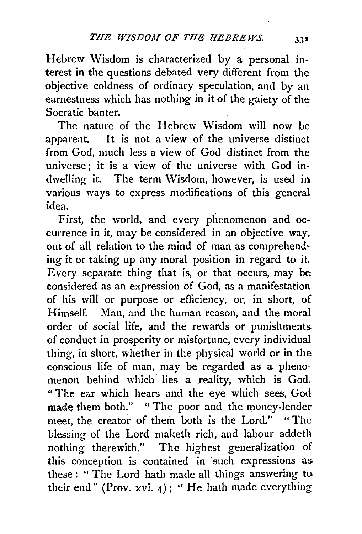Hebrew Wisdom is characterized by a personal interest in the questions debated very different from the objective coldness of ordinary speculation, and by an earnestness which has nothing in it of the gaiety of the Socratic banter.

The nature of the Hebrew Wisdom will now be apparent. It is not a view of the universe distinct from God, much less a view of God distinct from the universe; it is a view of the universe with God indwelling it. The term Wisdom, however, is used in various ways to express modifications of this general idea.

First, the world, and every plienomenon and occurrence in it, may be considered in an objective way, out of all relation to the mind of man as comprehending it or taking up any moral position in regard to it. Every separate thing that is, or that occurs, may be considered as an expression of God, as a manifestation of his will or purpose or efficiency, or, in short, of Himself. Man, and the human reason, and the moral order of social life, and the rewards or punishments of conduct in prosperity or misfortune, every individual thing, in short, whether in the physical world or in the conscious life of man, may be regarded as a phenomenon behind which lies a reality, which is God. "The ear which hears and the eye which sees, God made them both." "The poor and the money-lender meet, the creator of them both is the Lord." " The Llessing of the Lord maketh rich, and labour addeth nothing therewith." The highest generalization of this conception is contained in such expressions as these : " The Lord hath made all things answering to their end" (Prov. xvi. 4): "He hath made everything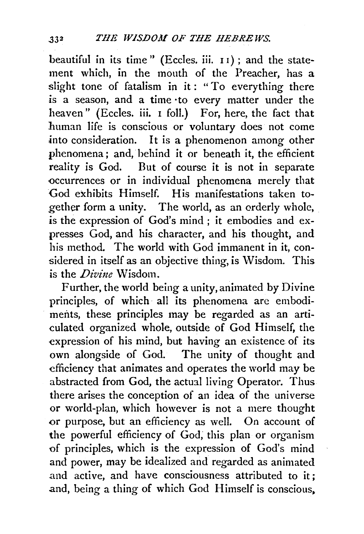beautiful in its time " (Eccles. iii. 1 I) ; and the statement which, in the mouth of the Preacher, has a slight tone of fatalism in it: "To everything there is a season, and a time ·to every matter under the heaven" (Eccles. iii. 1 foll.) For, here, the fact that human life is conscious or voluntary does not come into consideration. It is a phenomenon among other phenomena; and, behind it or beneath it, the efficient reality is God. But of course it is not in separate -occurrences or in individual phenomena merely that God exhibits Himself. His manifestations taken together form a unity. The world, as an orderly whole, . is the expression of God's mind; it embodies and expresses God, and his character, and his thought, and his method. The world with God immanent in it, considered in itself as an objective thing, is Wisdom. This is the *Divine* Wisdom.

Further, the world being a unity, animated by Divine principles, of which all its phenomena are embodiments, these principles may be regarded as an articulated organized whole, outside of God Himself, the expression of his mind, but having an existence of its own alongside of God. The unity of thought and efficiency that animates and operates the world may be abstracted from God, the actual living Operator. Thus there arises the conception of an idea of the universe or world-plan, which however is not a mere thought or purpose, but an efficiency as well. On account of the powerful efficiency of God; this plan or organism of principles, which is the expression of God's mind and power, may be idealized and regarded as animated and active, and have consciousness attributed to it; and, being a thing of which God Himself is conscious.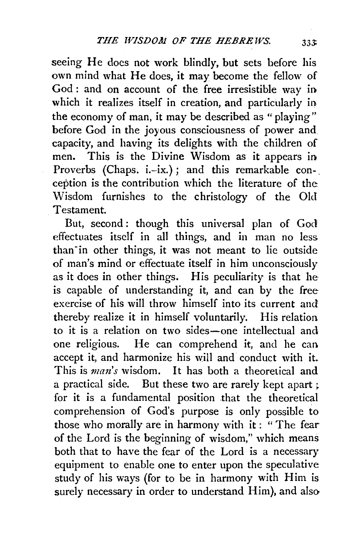seeing He does not work blindly, but sets before his own mind what He does, it may become the fellow of God: and on account of the free irresistible way in which it realizes itself in creation, and particularly in the economy of man, it may be described as "playing" before God in the joyous consciousness of power and capacity, and having its delights with the children of men. This is the Divine Wisdom as it appears in Proverbs (Chaps. i.-ix.); and this remarkable con-. ception is the contribution which the literature of the Wisdom furnishes to the christology of the Old Testament.

But, second: though this universal plan of God effectuates itself in all things, and in man no less. than-in other things, it was not meant to lie outside of man's mind or effectuate itself in him unconsciously as it does in other things. His peculiarity is that he is capable of understanding it, and can by the free exercise of his will throw himself into its current and thereby realize it in himself voluntarily. His relation to it is a relation on two sides-one intellectual and one religious. He can comprehend it, and he can. accept it, and harmonize his will and conduct with it. This is *man's* wisdom. It has both a theoretical and a practical side. But these two are rarely kept apart ; for it is a fundamental position that the theoretical comprehension of God's purpose is only possible to those who morally are in harmony with it : " The fear of the Lord is the beginning of wisdom," which means both that to have the fear of the Lord is a necessary equipment to enable one to enter upon the speculative study of his ways (for to be in harmony with Him is surely necessary in order to understand Him), and also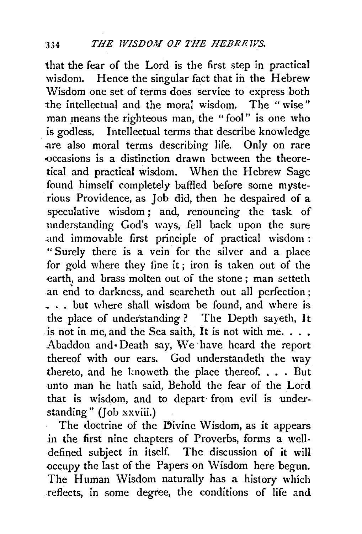that the fear of the Lord is the first step in practical wisdom. Hence the singular fact that in the Hebrew Wisdom one set of terms does service to express both the intellectual and the moral wisdom. The " wise" man means the righteous man, the "fool" is one who is godless. Intellectual terms that describe knowledge are also moral terms describing life. Only on rare <Occasions is a distinction drawn between the theoretical and practical wisdom. When the Hebrew Sage found himself completely baffled before some mysterious Providence, as Job did, then he despaired of a speculative wisdom ; and, renouncing the task of understanding God's ways, fell back upon the sure .and immovable first principle of practical wisdom : "Surely there is a vein for the silver and a place for gold where they fine it; iron is taken out of the earth, and brass molten out of the stone ; man setteth an end to darkness, and searcheth out all perfection ; \_ .. but where shall wisdom be found, and where is the place of understanding ? The Depth sayeth, It is not in me, and the Sea saith, It is not with me.  $\ldots$ . Abaddon and • Death say, We have heard the report thereof with our ears. God understandeth the way thereto, and he knoweth the place thereof. . . . But unto man he hath said, Behold the fear of the Lord that is wisdom, and to depart from evil is understanding" (Job xxviii.)

The doctrine of the Divine Wisdom, as it appears in the first nine chapters of Proverbs, forms a welldefined subject in itself. The discussion of it will occupy the last of the Papers on Wisdom here begun. The Human Wisdom naturally has a history which .reflects, in some degree, the conditions of life and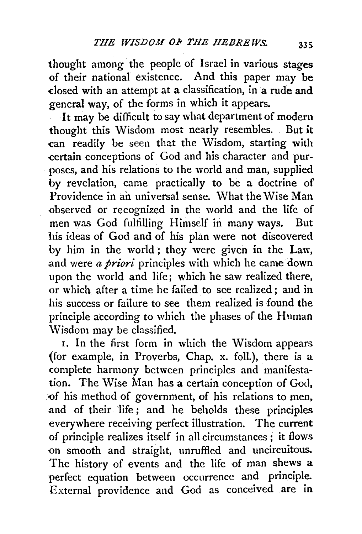thought among the people of Israel in various stages of their national existence. And this paper may be -closed with an attempt at a classification, in a rude and general way, of the forms in which it appears.

It may be difficult to say what department of modern thought this Wisdom most nearly resembles. But it -can readily be seen that the Wisdom, starting with -certain conceptions of God and his character and purposes, and his relations to the world and man, supplied by revelation, came practically to be a doctrine of Providence in an universal sense. What the Wise Man {)bserved or recognized in the world and the life of men was God fulfilling Himself in many ways. But his ideas of God and of his plan were not discovered by him in the world ; they were given in the Law, .and were *a priori* principles with which he came down upon the world and life; which he saw realized there, or which after a time he failed to see realized; and in his success or failure to see them realized is found the principle according to which the phases of the Human \Visdom may be classified.

1. In the first form in which the Wisdom appears (for example, in Proverbs, Chap. x. foil.), there is a complete harmony between principles and manifestation. The Wise Man has a certain conception of God, of his method of government, of his relations to men. and of their life; and he beholds these principles everywhere receiving perfect illustration. The current of principle realizes itself in all circumstances; it flows on smooth and straight, unruffled and uncircuitous. The history of events and the life of man shews a perfect equation between occurrence and principle. External providence and God as conceived are in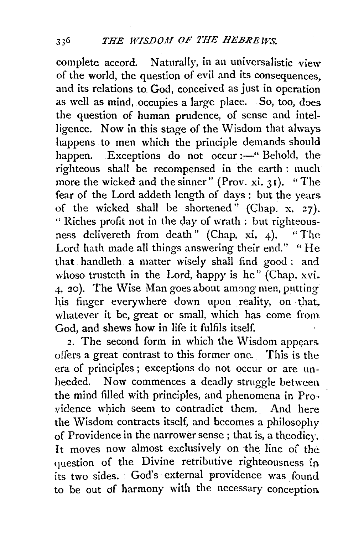complete accord. Naturally, in an universalistic view of the world, the question of evil and its consequences. and its relations to God, conceived as just in operation as well as mind, occupies a large place. . So, too, does the question of human prudence, of sense and intelligence. Now in this stage of the Wisdom that always happens to men which the principle demands should happen. Exceptions do not occur :- "Behold, the righteous shall be recompensed in the earth : much more the wicked and the sinner" (Prov. xi. 31). "The fear of the Lord addeth length of days : but the years of the wicked shall be shortened" (Chap. x. 27). " Riches profit not in the day of wrath : but righteousness delivereth from death" (Chap. xi. 4). "The Lord hath made all things answering their end." "He that handleth a matter wisely shall find good : and whoso trusteth in the Lord, happy is he" (Chap.  $xvi$ . 4, 20). The Wise Man goes about among men, putting his finger everywhere down upon reality, on that, whatever it be, great or small, which has come from God, and shews how in life it fulfils itself.

2. The second form in which the Wisdom appears offers a great contrast to this former one. This is the era of principles; exceptions do not occur or are unheeded. Now commences a deadly struggle between. the mind filled with principles, and phenomena in Providence which seem to contradict them. And here the Wisdom contracts itself, and becomes a philosophy of Providence in the narrower sense ; that is, a theodicy. It moves now almost exclusively on the line of the question of the Divine retributive righteousness in its two sides. · God's external providence was found to be out df harmony with the necessary conception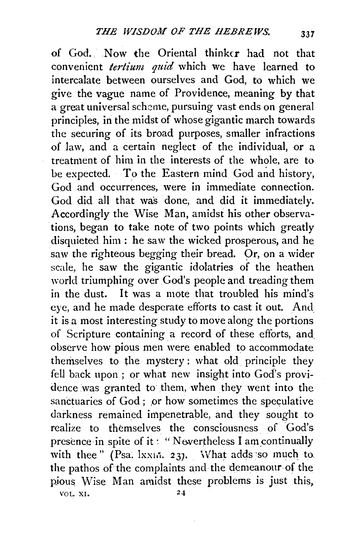of God. Now the Oriental thinker had not that convenient *tertium quid* which we have learned to intercalate between ourselves and God, to which we give the vague name of Providence, meaning by that a great universal scheme, pursuing vast ends on general principles, in the midst of whose gigantic march towards the securing of its broad purposes, smaller infractions of law, and a certain neglect of the individual, or a treatment of him in the interests of the whole, are to be expected. To the Eastern mind God and history, God and occurrences, were in immediate connection. God did all that was done; and did it immediately. Accordingly the Wise Man, amidst his other observations, began to take note of two points which greatly disquieted him: he saw the wicked prosperous, and he saw the righteous begging their bread. Or, on a wider scale, he saw the gigantic idolatries of the heathen 'vorld triumphing over God's people and treading them in the dust. It was a mote that troubled his mind's eye, and he made desperate efforts to cast it out. And it is a most interesting study to move along the portions of Scripture containing. a record of these efforts, and. observe how pious men were enabled to accommodate themselves to the mystery : what old. principle they fell back upon ; or what new insight into God's providence was granted to them, when they went into the sanctuaries of God; or how sometimes the speculative darkness remained impenetraple, and they sought to realize to themselves the consciousness of God's presence in spite of it: "Nevertheless I am continually with thee" (Psa.  $lxxin.$  237. What adds so much to. the pathos of the complaints and the demeanour of the pious Wise Man amidst these problems is just this, VOL. XI.  $24$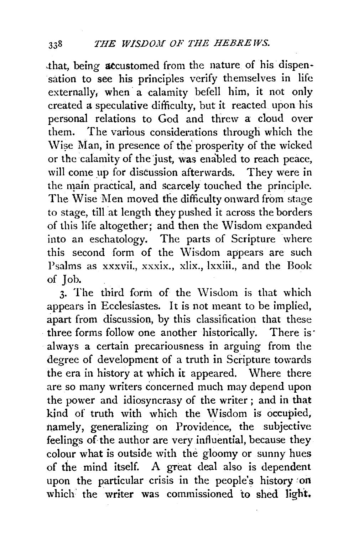that, being accustomed from the nature of his dispensation to see his principles verify themselves in life externally, when a calamity befell him, it not only created a speculative difficulty, but it reacted upon his personal relations to God and threw a cloud over them. The various considerations through which the \Vi?e Man, in presence of tbe' prosperity of the wicked or the calamity of the just, was enabled to reach peace, will come up for discussion afterwards. They were in the main practical, and scarcely touched the principle. The Wise Men moved the difficulty onward from stage to stage, till at length they pushed it across the borders of this life altogether; and then the Wisdom expanded into an eschatology. The parts of Scripture where this second form of the Wisdom appears are such Psalms as xxxvii., xxxix., xlix., lxxiii., and the Book of Job.

3. The third form of the Wisdom is that which appears in Ecclesiastes. It is not meant to be implied, apart from discussion, by this classification that these three forms follow one another historically. There is· always a certain precariousness in arguing from the degree of development of a truth in Scripture towards the era in history at which it appeared. Where there are so many writers concerned much may depend upon the power and idiosyncrasy of the writer ; and in that kind of truth with which the Wisdom is occupied, namely, generalizing on Providence, the subjective feelings of the author are very influential, because they colour what is outside with the gloomy or sunny hues of the mind itself. A great deal also is dependent upon the particular crisis in the people's history *:on*  which the writer was commissioned to shed light,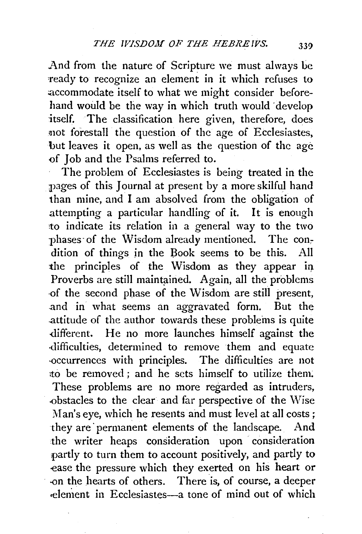And from the nature of Scripture we must always be 'ready to recognize an element in it which refuses to accommodate itself to what we might consider beforehand would be the way in which truth would ·develop itself. The classification here given, therefore, does not forestall the question of the age of Ecclesiastes, but leaves it open, as well as the question of the age of Job and the Psalms referred to.

The problem of Ecclesiastes is being treated in the pages of this Journal at present by a more skilful hand than mine, and I am absolved from the obligation of attempting a particular handling of it. It is enough to indicate its relation in a general way to the two phases of the Wisdom already mentioned. The condition of things in the Book seems to be this. All the principles of the Wisdom as they appear in Proverbs are still maintained. Again, all the problems ·of the second phase of the \Visdom are still present, .and in what seems an aggravated form. But the attitude of the author towards these problems is quite -different. He no more launches himself against the difficulties, determined to remove them and equate -occurrences with principles. The difficulties are not to be removed ; and he sets himself to utilize them. These problems are no more regarded as intruders, bstacles to the clear and far perspective of the Wise Man's eye, which he resents and must level at all costs; they are permanent elements of the landscape. And the writer heaps consideration upon consideration partly to turn them to account positively, and partly to ease the pressure which they exerted on his heart or -on the hearts of others. There is, of course, a deeper oelenient in Ecclesiastes-a tone of mind out of which